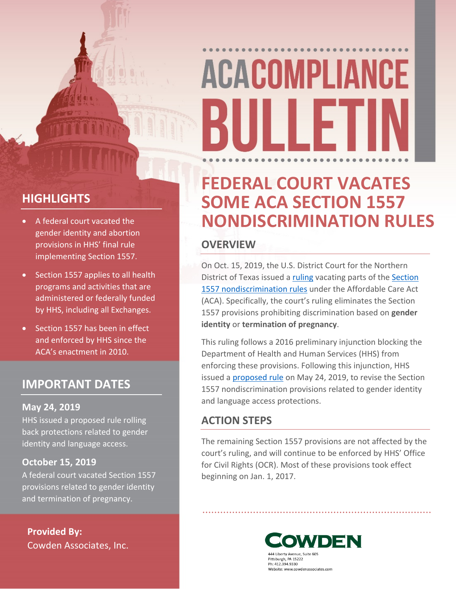# **ACACOMPLIANCE** BUILLET

### **FEDERAL COURT VACATES SOME ACA SECTION 1557 NONDISCRIMINATION RULES**

#### **OVERVIEW**

On Oct. 15, 2019, the U.S. District Court for the Northern District of Texas issued a [ruling](https://affordablecareactlitigation.files.wordpress.com/2019/10/fa-memorandum-op-and-order-10-15-19.pdf) vacating parts of the [Section](https://www.gpo.gov/fdsys/pkg/FR-2016-05-18/pdf/2016-11458.pdf)  [1557 nondiscrimination rules](https://www.gpo.gov/fdsys/pkg/FR-2016-05-18/pdf/2016-11458.pdf) under the Affordable Care Act (ACA). Specifically, the court's ruling eliminates the Section 1557 provisions prohibiting discrimination based on **gender identity** or **termination of pregnancy**.

This ruling follows a 2016 preliminary injunction blocking the Department of Health and Human Services (HHS) from enforcing these provisions. Following this injunction, HHS issued a [proposed rule](https://www.hhs.gov/sites/default/files/1557-nprm-hhs.pdf) on May 24, 2019, to revise the Section 1557 nondiscrimination provisions related to gender identity and language access protections.

#### **ACTION STEPS**

The remaining Section 1557 provisions are not affected by the court's ruling, and will continue to be enforced by HHS' Office for Civil Rights (OCR). Most of these provisions took effect beginning on Jan. 1, 2017.

### **HIGHLIGHTS**

- A federal court vacated the gender identity and abortion provisions in HHS' final rule implementing Section 1557.
- Section 1557 applies to all health programs and activities that are administered or federally funded by HHS, including all Exchanges.
- Section 1557 has been in effect and enforced by HHS since the ACA's enactment in 2010.

#### **IMPORTANT DATES**

#### **May 24, 2019**

HHS issued a proposed rule rolling back protections related to gender identity and language access.

#### **October 15, 2019**

A federal court vacated Section 1557 provisions related to gender identity and termination of pregnancy.

**Provided By:** Cowden Associates, Inc.



Pittsburgh, PA 15222 Ph: 412.394.9330 Website: www.cowdenassociates.com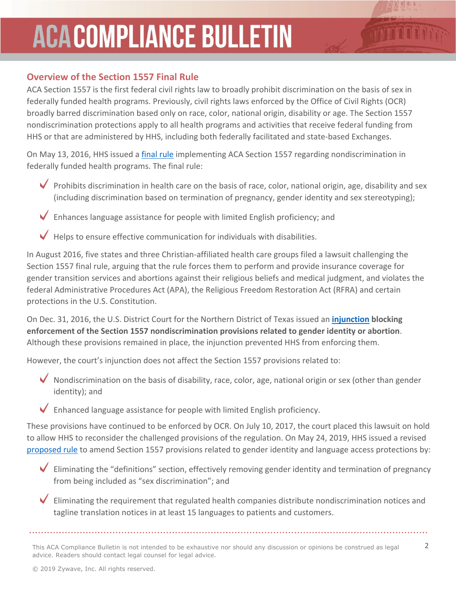# **ACACOMPLIANCE BULLETIN**

#### **Overview of the Section 1557 Final Rule**

ACA Section 1557 is the first federal civil rights law to broadly prohibit discrimination on the basis of sex in federally funded health programs. Previously, civil rights laws enforced by the Office of Civil Rights (OCR) broadly barred discrimination based only on race, color, national origin, disability or age. The Section 1557 nondiscrimination protections apply to all health programs and activities that receive federal funding from HHS or that are administered by HHS, including both federally facilitated and state-based Exchanges.

On May 13, 2016, HHS issued a [final rule](https://www.gpo.gov/fdsys/pkg/FR-2016-05-18/pdf/2016-11458.pdf) implementing ACA Section 1557 regarding nondiscrimination in federally funded health programs. The final rule:

- Prohibits discrimination in health care on the basis of race, color, national origin, age, disability and sex (including discrimination based on termination of pregnancy, gender identity and sex stereotyping);
- Enhances language assistance for people with limited English proficiency; and

Helps to ensure effective communication for individuals with disabilities.

In August 2016, five states and three Christian-affiliated health care groups filed a lawsuit challenging the Section 1557 final rule, arguing that the rule forces them to perform and provide insurance coverage for gender transition services and abortions against their religious beliefs and medical judgment, and violates the federal Administrative Procedures Act (APA), the Religious Freedom Restoration Act (RFRA) and certain protections in the U.S. Constitution.

On Dec. 31, 2016, the U.S. District Court for the Northern District of Texas issued an **[injunction](https://www.healthemploymentandlabor.com/files/2017/01/Injunction.pdf) blocking enforcement of the Section 1557 nondiscrimination provisions related to gender identity or abortion**. Although these provisions remained in place, the injunction prevented HHS from enforcing them.

However, the court's injunction does not affect the Section 1557 provisions related to:

Nondiscrimination on the basis of disability, race, color, age, national origin or sex (other than gender identity); and

Enhanced language assistance for people with limited English proficiency.

These provisions have continued to be enforced by OCR. On July 10, 2017, the court placed this lawsuit on hold to allow HHS to reconsider the challenged provisions of the regulation. On May 24, 2019, HHS issued a revised [proposed rule](https://www.hhs.gov/sites/default/files/1557-nprm-hhs.pdf) to amend Section 1557 provisions related to gender identity and language access protections by:

 $\sqrt{2}$ Eliminating the "definitions" section, effectively removing gender identity and termination of pregnancy from being included as "sex discrimination"; and

 $\blacktriangledown$ Eliminating the requirement that regulated health companies distribute nondiscrimination notices and tagline translation notices in at least 15 languages to patients and customers.

This ACA Compliance Bulletin is not intended to be exhaustive nor should any discussion or opinions be construed as legal 2 advice. Readers should contact legal counsel for legal advice.